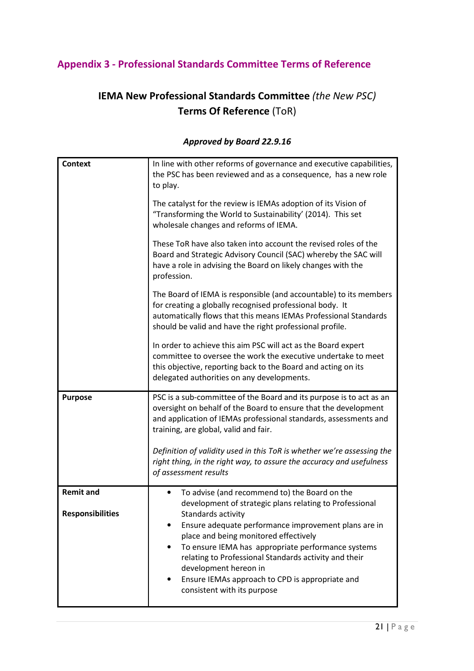## Appendix 3 - Professional Standards Committee Terms of Reference

# IEMA New Professional Standards Committee (the New PSC) Terms Of Reference (ToR)

### Context In line with other reforms of governance and executive capabilities, the PSC has been reviewed and as a consequence, has a new role to play. The catalyst for the review is IEMAs adoption of its Vision of "Transforming the World to Sustainability' (2014). This set wholesale changes and reforms of IEMA. These ToR have also taken into account the revised roles of the Board and Strategic Advisory Council (SAC) whereby the SAC will have a role in advising the Board on likely changes with the profession. The Board of IEMA is responsible (and accountable) to its members for creating a globally recognised professional body. It automatically flows that this means IEMAs Professional Standards should be valid and have the right professional profile. In order to achieve this aim PSC will act as the Board expert committee to oversee the work the executive undertake to meet this objective, reporting back to the Board and acting on its delegated authorities on any developments. **Purpose** PSC is a sub-committee of the Board and its purpose is to act as an oversight on behalf of the Board to ensure that the development and application of IEMAs professional standards, assessments and training, are global, valid and fair. Definition of validity used in this ToR is whether we're assessing the right thing, in the right way, to assure the accuracy and usefulness of assessment results Remit and Responsibilities • To advise (and recommend to) the Board on the development of strategic plans relating to Professional Standards activity • Ensure adequate performance improvement plans are in place and being monitored effectively To ensure IEMA has appropriate performance systems relating to Professional Standards activity and their development hereon in • Ensure IEMAs approach to CPD is appropriate and consistent with its purpose

#### Approved by Board 22.9.16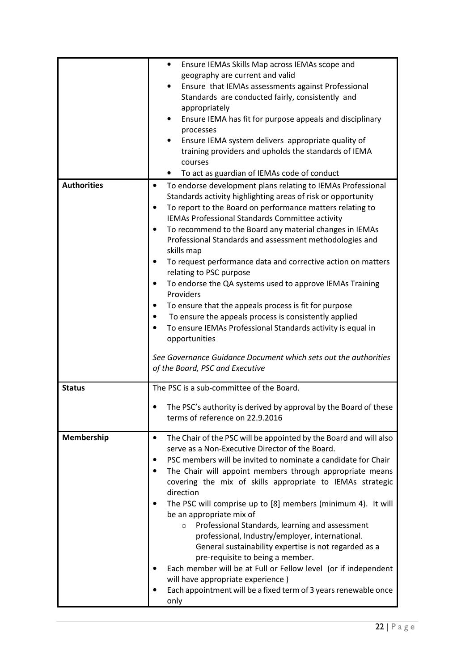|                    | Ensure IEMAs Skills Map across IEMAs scope and<br>٠                                                        |
|--------------------|------------------------------------------------------------------------------------------------------------|
|                    | geography are current and valid                                                                            |
|                    | Ensure that IEMAs assessments against Professional                                                         |
|                    | Standards are conducted fairly, consistently and                                                           |
|                    | appropriately                                                                                              |
|                    | Ensure IEMA has fit for purpose appeals and disciplinary                                                   |
|                    | processes                                                                                                  |
|                    | Ensure IEMA system delivers appropriate quality of<br>training providers and upholds the standards of IEMA |
|                    | courses                                                                                                    |
|                    | To act as guardian of IEMAs code of conduct                                                                |
| <b>Authorities</b> | To endorse development plans relating to IEMAs Professional<br>$\bullet$                                   |
|                    | Standards activity highlighting areas of risk or opportunity                                               |
|                    | To report to the Board on performance matters relating to<br>$\bullet$                                     |
|                    | IEMAs Professional Standards Committee activity                                                            |
|                    | To recommend to the Board any material changes in IEMAs<br>$\bullet$                                       |
|                    | Professional Standards and assessment methodologies and                                                    |
|                    | skills map                                                                                                 |
|                    | To request performance data and corrective action on matters<br>$\bullet$                                  |
|                    | relating to PSC purpose                                                                                    |
|                    | To endorse the QA systems used to approve IEMAs Training<br>$\bullet$                                      |
|                    | Providers                                                                                                  |
|                    | To ensure that the appeals process is fit for purpose<br>$\bullet$                                         |
|                    | To ensure the appeals process is consistently applied                                                      |
|                    | To ensure IEMAs Professional Standards activity is equal in                                                |
|                    | opportunities                                                                                              |
|                    | See Governance Guidance Document which sets out the authorities                                            |
|                    | of the Board, PSC and Executive                                                                            |
|                    |                                                                                                            |
| <b>Status</b>      | The PSC is a sub-committee of the Board.                                                                   |
|                    |                                                                                                            |
|                    | The PSC's authority is derived by approval by the Board of these<br>terms of reference on 22.9.2016        |
|                    |                                                                                                            |
| Membership         | The Chair of the PSC will be appointed by the Board and will also<br>$\bullet$                             |
|                    | serve as a Non-Executive Director of the Board.                                                            |
|                    | PSC members will be invited to nominate a candidate for Chair                                              |
|                    |                                                                                                            |
|                    | The Chair will appoint members through appropriate means                                                   |
|                    | covering the mix of skills appropriate to IEMAs strategic                                                  |
|                    | direction                                                                                                  |
|                    | The PSC will comprise up to [8] members (minimum 4). It will                                               |
|                    | be an appropriate mix of                                                                                   |
|                    | Professional Standards, learning and assessment<br>$\circ$                                                 |
|                    | professional, Industry/employer, international.                                                            |
|                    | General sustainability expertise is not regarded as a                                                      |
|                    | pre-requisite to being a member.                                                                           |
|                    | Each member will be at Full or Fellow level (or if independent                                             |
|                    | will have appropriate experience)<br>Each appointment will be a fixed term of 3 years renewable once       |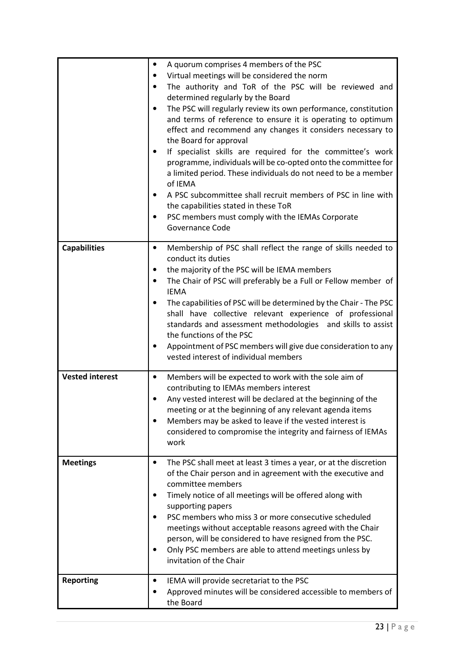|                        | A quorum comprises 4 members of the PSC<br>٠<br>Virtual meetings will be considered the norm<br>The authority and ToR of the PSC will be reviewed and<br>$\bullet$<br>determined regularly by the Board<br>The PSC will regularly review its own performance, constitution<br>$\bullet$<br>and terms of reference to ensure it is operating to optimum<br>effect and recommend any changes it considers necessary to<br>the Board for approval<br>If specialist skills are required for the committee's work<br>programme, individuals will be co-opted onto the committee for<br>a limited period. These individuals do not need to be a member<br>of IEMA<br>A PSC subcommittee shall recruit members of PSC in line with<br>٠<br>the capabilities stated in these ToR |
|------------------------|--------------------------------------------------------------------------------------------------------------------------------------------------------------------------------------------------------------------------------------------------------------------------------------------------------------------------------------------------------------------------------------------------------------------------------------------------------------------------------------------------------------------------------------------------------------------------------------------------------------------------------------------------------------------------------------------------------------------------------------------------------------------------|
|                        | PSC members must comply with the IEMAs Corporate<br>$\bullet$<br>Governance Code                                                                                                                                                                                                                                                                                                                                                                                                                                                                                                                                                                                                                                                                                         |
| <b>Capabilities</b>    | Membership of PSC shall reflect the range of skills needed to<br>٠<br>conduct its duties<br>the majority of the PSC will be IEMA members<br>٠<br>The Chair of PSC will preferably be a Full or Fellow member of<br>$\bullet$<br><b>IEMA</b><br>The capabilities of PSC will be determined by the Chair - The PSC<br>$\bullet$<br>shall have collective relevant experience of professional<br>standards and assessment methodologies and skills to assist<br>the functions of the PSC<br>Appointment of PSC members will give due consideration to any<br>vested interest of individual members                                                                                                                                                                          |
| <b>Vested interest</b> | Members will be expected to work with the sole aim of<br>٠<br>contributing to IEMAs members interest<br>Any vested interest will be declared at the beginning of the<br>$\bullet$<br>meeting or at the beginning of any relevant agenda items<br>Members may be asked to leave if the vested interest is<br>considered to compromise the integrity and fairness of IEMAs<br>work                                                                                                                                                                                                                                                                                                                                                                                         |
| <b>Meetings</b>        | The PSC shall meet at least 3 times a year, or at the discretion<br>٠<br>of the Chair person and in agreement with the executive and<br>committee members<br>Timely notice of all meetings will be offered along with<br>٠<br>supporting papers<br>PSC members who miss 3 or more consecutive scheduled<br>$\bullet$<br>meetings without acceptable reasons agreed with the Chair<br>person, will be considered to have resigned from the PSC.<br>Only PSC members are able to attend meetings unless by<br>٠<br>invitation of the Chair                                                                                                                                                                                                                                 |
| <b>Reporting</b>       | IEMA will provide secretariat to the PSC<br>٠<br>Approved minutes will be considered accessible to members of<br>the Board                                                                                                                                                                                                                                                                                                                                                                                                                                                                                                                                                                                                                                               |